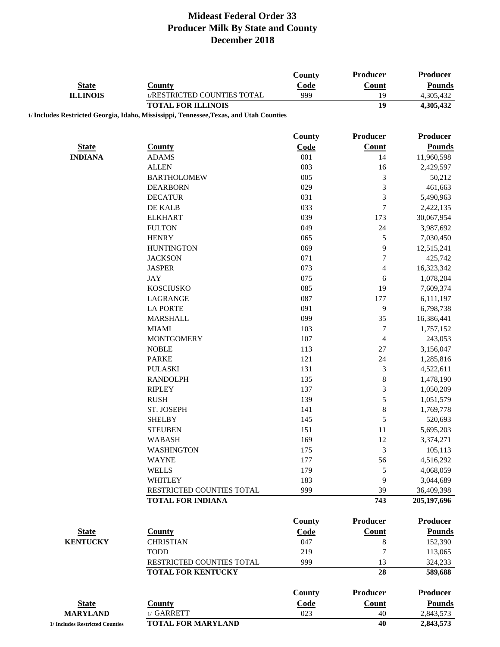| <b>State</b><br><b>ILLINOIS</b> | <b>County</b><br>1/RESTRICTED COUNTIES TOTAL                                            | <b>County</b><br>Code<br>999 | Producer<br><b>Count</b><br>19 | Producer<br><b>Pounds</b><br>4,305,432 |
|---------------------------------|-----------------------------------------------------------------------------------------|------------------------------|--------------------------------|----------------------------------------|
|                                 | <b>TOTAL FOR ILLINOIS</b>                                                               |                              | 19                             | 4,305,432                              |
|                                 | 1/ Includes Restricted Georgia, Idaho, Mississippi, Tennessee, Texas, and Utah Counties |                              |                                |                                        |
|                                 |                                                                                         | County                       | <b>Producer</b>                | <b>Producer</b>                        |
| <b>State</b>                    | <b>County</b>                                                                           | Code                         | Count                          | <b>Pounds</b>                          |
| <b>INDIANA</b>                  | <b>ADAMS</b>                                                                            | 001                          | 14                             | 11,960,598                             |
|                                 | <b>ALLEN</b>                                                                            | 003                          | 16                             | 2,429,597                              |
|                                 | <b>BARTHOLOMEW</b>                                                                      | 005                          | 3                              | 50,212                                 |
|                                 | <b>DEARBORN</b>                                                                         | 029                          | 3                              | 461,663                                |
|                                 | <b>DECATUR</b>                                                                          | 031                          | $\mathfrak{Z}$                 | 5,490,963                              |
|                                 | DE KALB                                                                                 | 033                          | $\boldsymbol{7}$               | 2,422,135                              |
|                                 | <b>ELKHART</b>                                                                          | 039                          | 173                            | 30,067,954                             |
|                                 | <b>FULTON</b>                                                                           | 049                          | 24                             | 3,987,692                              |
|                                 | <b>HENRY</b>                                                                            | 065                          | 5                              | 7,030,450                              |
|                                 | <b>HUNTINGTON</b>                                                                       | 069                          | 9                              | 12,515,241                             |
|                                 | <b>JACKSON</b>                                                                          | 071                          | 7                              | 425,742                                |
|                                 | <b>JASPER</b>                                                                           | 073                          | $\overline{\mathcal{L}}$       | 16,323,342                             |
|                                 | <b>JAY</b>                                                                              | 075                          | 6                              | 1,078,204                              |
|                                 | <b>KOSCIUSKO</b>                                                                        | 085                          | 19                             | 7,609,374                              |
|                                 | LAGRANGE                                                                                | 087                          | 177                            | 6,111,197                              |
|                                 | <b>LA PORTE</b>                                                                         | 091                          | 9                              | 6,798,738                              |
|                                 | <b>MARSHALL</b>                                                                         | 099                          | 35                             | 16,386,441                             |
|                                 | <b>MIAMI</b>                                                                            | 103                          | $\boldsymbol{7}$               | 1,757,152                              |
|                                 | <b>MONTGOMERY</b>                                                                       | 107                          | $\overline{4}$                 | 243,053                                |
|                                 | <b>NOBLE</b>                                                                            | 113                          | 27                             | 3,156,047                              |
|                                 | <b>PARKE</b>                                                                            | 121                          | 24                             | 1,285,816                              |
|                                 | <b>PULASKI</b>                                                                          | 131                          | $\mathfrak{Z}$                 | 4,522,611                              |
|                                 | <b>RANDOLPH</b>                                                                         | 135                          | 8                              | 1,478,190                              |
|                                 | <b>RIPLEY</b>                                                                           | 137                          | 3                              | 1,050,209                              |
|                                 | <b>RUSH</b>                                                                             | 139                          | 5                              | 1,051,579                              |
|                                 | ST. JOSEPH                                                                              | 141                          | $\,8$                          | 1,769,778                              |
|                                 | <b>SHELBY</b>                                                                           | 145                          | 5                              | 520,693                                |
|                                 | <b>STEUBEN</b>                                                                          | 151                          | 11                             | 5,695,203                              |
|                                 | <b>WABASH</b>                                                                           | 169                          | 12                             | 3,374,271                              |
|                                 | <b>WASHINGTON</b><br><b>WAYNE</b>                                                       | 175                          | 3                              | 105,113                                |
|                                 | <b>WELLS</b>                                                                            | 177                          | 56                             | 4,516,292                              |
|                                 | WHITLEY                                                                                 | 179<br>183                   | 5<br>9                         | 4,068,059<br>3,044,689                 |
|                                 | RESTRICTED COUNTIES TOTAL                                                               | 999                          | 39                             | 36,409,398                             |
|                                 | <b>TOTAL FOR INDIANA</b>                                                                |                              | 743                            | 205,197,696                            |
|                                 |                                                                                         |                              |                                |                                        |
|                                 |                                                                                         | County                       | <b>Producer</b>                | <b>Producer</b>                        |
| <b>State</b>                    | <b>County</b>                                                                           | Code                         | Count                          | <b>Pounds</b>                          |
| <b>KENTUCKY</b>                 | <b>CHRISTIAN</b>                                                                        | 047                          | 8                              | 152,390                                |
|                                 | <b>TODD</b>                                                                             | 219                          | 7                              | 113,065                                |
|                                 | RESTRICTED COUNTIES TOTAL                                                               | 999                          | 13                             | 324,233                                |
|                                 | <b>TOTAL FOR KENTUCKY</b>                                                               |                              | 28                             | 589,688                                |
|                                 |                                                                                         | <b>County</b>                | <b>Producer</b>                | <b>Producer</b>                        |
| <b>State</b>                    | <b>County</b>                                                                           | Code                         | <b>Count</b>                   | <b>Pounds</b>                          |
| <b>MARYLAND</b>                 | 1/ GARRETT                                                                              | 023                          | 40                             | 2,843,573                              |
| 1/ Includes Restricted Counties | <b>TOTAL FOR MARYLAND</b>                                                               |                              | 40                             | 2,843,573                              |
|                                 |                                                                                         |                              |                                |                                        |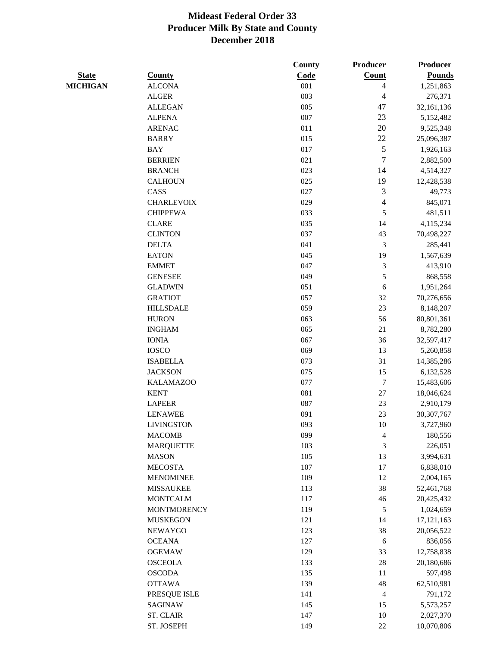|                 |                    | County  | Producer         | Producer      |
|-----------------|--------------------|---------|------------------|---------------|
| <b>State</b>    | <b>County</b>      | Code    | Count            | <b>Pounds</b> |
| <b>MICHIGAN</b> | <b>ALCONA</b>      | 001     | 4                | 1,251,863     |
|                 | <b>ALGER</b>       | 003     | 4                | 276,371       |
|                 | <b>ALLEGAN</b>     | 005     | 47               | 32,161,136    |
|                 | <b>ALPENA</b>      | 007     | 23               | 5,152,482     |
|                 | <b>ARENAC</b>      | 011     | 20               | 9,525,348     |
|                 | <b>BARRY</b>       | 015     | 22               | 25,096,387    |
|                 | <b>BAY</b>         | 017     | 5                | 1,926,163     |
|                 | <b>BERRIEN</b>     | 021     | 7                | 2,882,500     |
|                 | <b>BRANCH</b>      | 023     | 14               | 4,514,327     |
|                 | <b>CALHOUN</b>     | 025     | 19               | 12,428,538    |
|                 | CASS               | 027     | $\mathfrak{Z}$   | 49,773        |
|                 | <b>CHARLEVOIX</b>  | 029     | $\overline{4}$   | 845,071       |
|                 | <b>CHIPPEWA</b>    | 033     | 5                | 481,511       |
|                 | <b>CLARE</b>       | 035     | 14               | 4,115,234     |
|                 | <b>CLINTON</b>     | 037     | 43               | 70,498,227    |
|                 | <b>DELTA</b>       | 041     | 3                | 285,441       |
|                 | <b>EATON</b>       | 045     | 19               | 1,567,639     |
|                 | <b>EMMET</b>       | 047     | $\mathfrak{Z}$   | 413,910       |
|                 | <b>GENESEE</b>     | 049     | 5                | 868,558       |
|                 | <b>GLADWIN</b>     | 051     | 6                | 1,951,264     |
|                 | <b>GRATIOT</b>     | 057     | 32               | 70,276,656    |
|                 | <b>HILLSDALE</b>   | 059     | 23               | 8,148,207     |
|                 | <b>HURON</b>       | 063     | 56               | 80,801,361    |
|                 | <b>INGHAM</b>      | 065     | 21               | 8,782,280     |
|                 | <b>IONIA</b>       | 067     | 36               | 32,597,417    |
|                 | <b>IOSCO</b>       | 069     | 13               | 5,260,858     |
|                 | <b>ISABELLA</b>    | 073     | 31               | 14,385,286    |
|                 | <b>JACKSON</b>     | 075     | 15               | 6,132,528     |
|                 | <b>KALAMAZOO</b>   | 077     | $\boldsymbol{7}$ | 15,483,606    |
|                 | <b>KENT</b>        | 081     | $27\,$           | 18,046,624    |
|                 | <b>LAPEER</b>      | 087     | $23\,$           | 2,910,179     |
|                 | <b>LENAWEE</b>     | 091     | 23               | 30,307,767    |
|                 | <b>LIVINGSTON</b>  | 093     | 10               | 3,727,960     |
|                 | <b>MACOMB</b>      | 099     | $\overline{4}$   | 180,556       |
|                 | <b>MARQUETTE</b>   | 103     | 3                | 226,051       |
|                 | <b>MASON</b>       | 105     | 13               | 3,994,631     |
|                 | <b>MECOSTA</b>     | $107\,$ | 17               | 6,838,010     |
|                 | <b>MENOMINEE</b>   | 109     | 12               | 2,004,165     |
|                 | <b>MISSAUKEE</b>   | 113     | 38               | 52,461,768    |
|                 | <b>MONTCALM</b>    | 117     | 46               | 20,425,432    |
|                 | <b>MONTMORENCY</b> | 119     | $\sqrt{5}$       | 1,024,659     |
|                 | <b>MUSKEGON</b>    | 121     | 14               | 17,121,163    |
|                 | <b>NEWAYGO</b>     | 123     | 38               | 20,056,522    |
|                 | <b>OCEANA</b>      | 127     | 6                | 836,056       |
|                 | <b>OGEMAW</b>      | 129     | 33               | 12,758,838    |
|                 | <b>OSCEOLA</b>     | 133     | $28\,$           | 20,180,686    |
|                 | <b>OSCODA</b>      | 135     | 11               | 597,498       |
|                 | <b>OTTAWA</b>      | 139     | $\sqrt{48}$      | 62,510,981    |
|                 | PRESQUE ISLE       | 141     | $\overline{4}$   | 791,172       |
|                 | <b>SAGINAW</b>     | 145     | 15               | 5,573,257     |
|                 | <b>ST. CLAIR</b>   | 147     | 10               | 2,027,370     |
|                 | ST. JOSEPH         | 149     | 22               | 10,070,806    |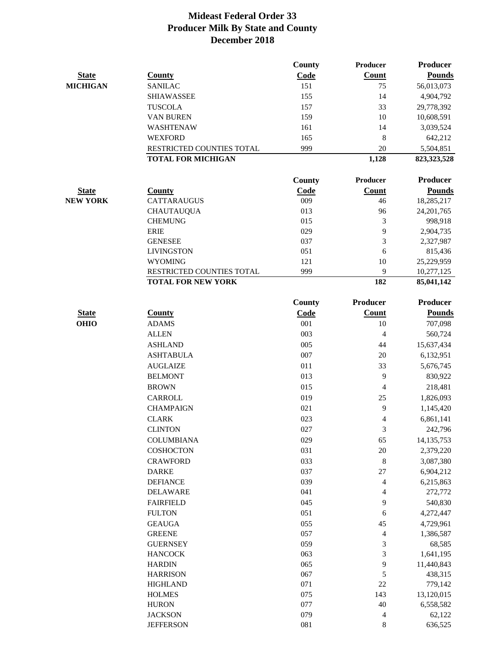|                 |                           | County        | Producer            | <b>Producer</b>     |
|-----------------|---------------------------|---------------|---------------------|---------------------|
| <b>State</b>    | <b>County</b>             | Code          | Count               | <b>Pounds</b>       |
| <b>MICHIGAN</b> | <b>SANILAC</b>            | 151           | 75                  | 56,013,073          |
|                 | <b>SHIAWASSEE</b>         | 155           | 14                  | 4,904,792           |
|                 | <b>TUSCOLA</b>            | 157           | 33                  | 29,778,392          |
|                 | VAN BUREN                 | 159           | 10                  | 10,608,591          |
|                 | WASHTENAW                 | 161           | 14                  | 3,039,524           |
|                 | <b>WEXFORD</b>            | 165           | 8                   | 642,212             |
|                 | RESTRICTED COUNTIES TOTAL | 999           | 20                  | 5,504,851           |
|                 | <b>TOTAL FOR MICHIGAN</b> |               | 1,128               | 823,323,528         |
|                 |                           | <b>County</b> | Producer            | <b>Producer</b>     |
| <b>State</b>    | <b>County</b>             | Code          | Count               | <b>Pounds</b>       |
| <b>NEW YORK</b> | <b>CATTARAUGUS</b>        | 009           | 46                  | 18,285,217          |
|                 | <b>CHAUTAUQUA</b>         | 013           | 96                  | 24, 201, 765        |
|                 | <b>CHEMUNG</b>            | 015           | 3                   | 998,918             |
|                 | <b>ERIE</b>               | 029           | 9                   | 2,904,735           |
|                 | <b>GENESEE</b>            | 037           | 3                   | 2,327,987           |
|                 | <b>LIVINGSTON</b>         | 051           | 6                   | 815,436             |
|                 | <b>WYOMING</b>            | 121           | 10                  | 25,229,959          |
|                 | RESTRICTED COUNTIES TOTAL | 999           | 9                   | 10,277,125          |
|                 | <b>TOTAL FOR NEW YORK</b> |               | 182                 | 85,041,142          |
|                 |                           | <b>County</b> | <b>Producer</b>     | <b>Producer</b>     |
| <b>State</b>    | <b>County</b>             | <b>Code</b>   | Count               | <b>Pounds</b>       |
| <b>OHIO</b>     | <b>ADAMS</b>              | 001           | 10                  | 707,098             |
|                 | <b>ALLEN</b>              | 003           | $\overline{4}$      | 560,724             |
|                 | <b>ASHLAND</b>            | 005           | 44                  | 15,637,434          |
|                 | <b>ASHTABULA</b>          | 007           | 20                  | 6,132,951           |
|                 | <b>AUGLAIZE</b>           | 011           | 33                  | 5,676,745           |
|                 | <b>BELMONT</b>            | 013           | 9                   | 830,922             |
|                 | <b>BROWN</b>              | 015           | $\overline{4}$      | 218,481             |
|                 | <b>CARROLL</b>            | 019           | 25                  | 1,826,093           |
|                 | <b>CHAMPAIGN</b>          | 021           | 9                   | 1,145,420           |
|                 | <b>CLARK</b>              | 023           | 4                   | 6,861,141           |
|                 | <b>CLINTON</b>            | 027           | 3                   | 242,796             |
|                 | <b>COLUMBIANA</b>         | 029           | 65                  | 14, 135, 753        |
|                 | <b>COSHOCTON</b>          | 031           | $20\,$              | 2,379,220           |
|                 | <b>CRAWFORD</b>           | 033           | $\,8\,$             | 3,087,380           |
|                 | <b>DARKE</b>              | 037           | $27\,$              | 6,904,212           |
|                 | <b>DEFIANCE</b>           | 039           | 4                   | 6,215,863           |
|                 | <b>DELAWARE</b>           | 041           | 4                   | 272,772             |
|                 | <b>FAIRFIELD</b>          | 045           | 9                   | 540,830             |
|                 | <b>FULTON</b>             | 051           | 6                   | 4,272,447           |
|                 | <b>GEAUGA</b>             | 055           | 45                  | 4,729,961           |
|                 | <b>GREENE</b>             | 057           |                     | 1,386,587           |
|                 | <b>GUERNSEY</b>           | 059           | $\overline{4}$<br>3 |                     |
|                 | <b>HANCOCK</b>            | 063           | 3                   | 68,585<br>1,641,195 |
|                 | <b>HARDIN</b>             | 065           | 9                   | 11,440,843          |
|                 | <b>HARRISON</b>           | 067           | $\mathfrak s$       | 438,315             |
|                 | <b>HIGHLAND</b>           | 071           | 22                  | 779,142             |
|                 | <b>HOLMES</b>             | 075           | 143                 | 13,120,015          |
|                 | <b>HURON</b>              | 077           | 40                  | 6,558,582           |
|                 | <b>JACKSON</b>            | 079           | 4                   | 62,122              |
|                 | <b>JEFFERSON</b>          | 081           | 8                   | 636,525             |
|                 |                           |               |                     |                     |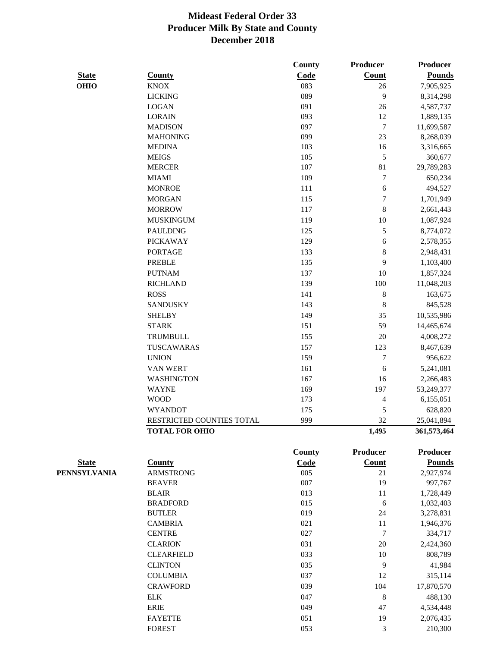|              |                           | County        | Producer         | <b>Producer</b> |
|--------------|---------------------------|---------------|------------------|-----------------|
| <b>State</b> | <b>County</b>             | Code          | Count            | <b>Pounds</b>   |
| <b>OHIO</b>  | <b>KNOX</b>               | 083           | 26               | 7,905,925       |
|              | <b>LICKING</b>            | 089           | 9                | 8,314,298       |
|              | <b>LOGAN</b>              | 091           | 26               | 4,587,737       |
|              | <b>LORAIN</b>             | 093           | 12               | 1,889,135       |
|              | <b>MADISON</b>            | 097           | $\boldsymbol{7}$ | 11,699,587      |
|              | <b>MAHONING</b>           | 099           | 23               | 8,268,039       |
|              | <b>MEDINA</b>             | 103           | 16               | 3,316,665       |
|              | <b>MEIGS</b>              | 105           | $\sqrt{5}$       | 360,677         |
|              | <b>MERCER</b>             | 107           | 81               | 29,789,283      |
|              | <b>MIAMI</b>              | 109           | $\boldsymbol{7}$ | 650,234         |
|              | <b>MONROE</b>             | 111           | 6                | 494,527         |
|              | <b>MORGAN</b>             | 115           | $\tau$           | 1,701,949       |
|              | <b>MORROW</b>             | 117           | 8                | 2,661,443       |
|              | <b>MUSKINGUM</b>          | 119           | 10               | 1,087,924       |
|              | <b>PAULDING</b>           | 125           | $\sqrt{5}$       | 8,774,072       |
|              | <b>PICKAWAY</b>           | 129           | 6                | 2,578,355       |
|              | <b>PORTAGE</b>            | 133           | $\,8\,$          | 2,948,431       |
|              | <b>PREBLE</b>             | 135           | 9                | 1,103,400       |
|              | <b>PUTNAM</b>             | 137           | 10               | 1,857,324       |
|              | <b>RICHLAND</b>           | 139           | 100              | 11,048,203      |
|              | <b>ROSS</b>               | 141           | $\,8\,$          | 163,675         |
|              | <b>SANDUSKY</b>           | 143           | $\,8\,$          | 845,528         |
|              | <b>SHELBY</b>             | 149           | 35               | 10,535,986      |
|              | <b>STARK</b>              | 151           | 59               | 14,465,674      |
|              | TRUMBULL                  | 155           | 20               | 4,008,272       |
|              | TUSCAWARAS                | 157           | 123              | 8,467,639       |
|              | <b>UNION</b>              | 159           | 7                | 956,622         |
|              | <b>VAN WERT</b>           | 161           | 6                | 5,241,081       |
|              | <b>WASHINGTON</b>         | 167           | 16               | 2,266,483       |
|              | <b>WAYNE</b>              | 169           | 197              | 53,249,377      |
|              | <b>WOOD</b>               | 173           | 4                | 6,155,051       |
|              | <b>WYANDOT</b>            | 175           | $\sqrt{5}$       | 628,820         |
|              | RESTRICTED COUNTIES TOTAL | 999           | 32               | 25,041,894      |
|              | <b>TOTAL FOR OHIO</b>     |               | 1,495            | 361,573,464     |
|              |                           | <b>County</b> | <b>Producer</b>  | <b>Producer</b> |
| <b>State</b> | <b>County</b>             | Code          | Count            | <b>Pounds</b>   |
| PENNSYLVANIA | <b>ARMSTRONG</b>          | 005           | 21               | 2,927,974       |
|              | <b>BEAVER</b>             | 007           | 19               | 997,767         |
|              | <b>BLAIR</b>              | 013           | $11\,$           | 1,728,449       |
|              | <b>BRADFORD</b>           | 015           | 6                | 1,032,403       |
|              | <b>BUTLER</b>             | 019           | 24               | 3,278,831       |
|              | <b>CAMBRIA</b>            | 021           | 11               | 1,946,376       |
|              | <b>CENTRE</b>             | 027           | $\boldsymbol{7}$ | 334,717         |
|              | <b>CLARION</b>            | 031           | 20               | 2,424,360       |
|              | <b>CLEARFIELD</b>         | 033           | $10\,$           | 808,789         |
|              | <b>CLINTON</b>            | 035           | 9                | 41,984          |
|              | <b>COLUMBIA</b>           | 037           | 12               | 315,114         |
|              | <b>CRAWFORD</b>           | 039           | 104              | 17,870,570      |
|              | ${\rm ELK}$               | 047           | $\,8\,$          | 488,130         |
|              | <b>ERIE</b>               | 049           | 47               | 4,534,448       |
|              | <b>FAYETTE</b>            | 051           | 19               | 2,076,435       |
|              |                           |               |                  |                 |

FOREST 210,300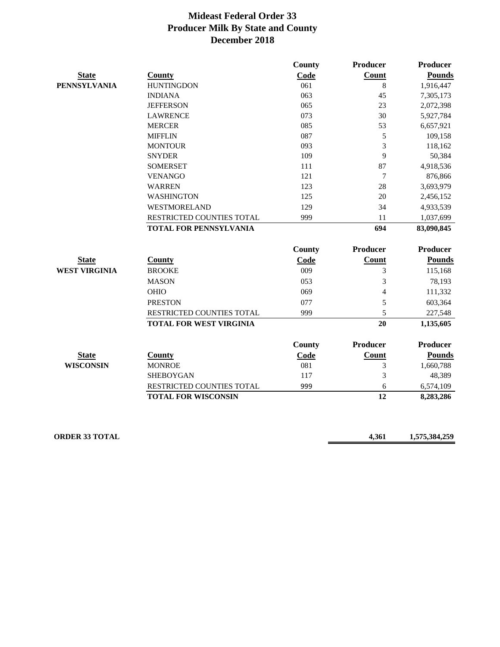|                      |                                  | <b>County</b> | <b>Producer</b> | Producer        |
|----------------------|----------------------------------|---------------|-----------------|-----------------|
| <b>State</b>         | <b>County</b>                    | Code          | Count           | <b>Pounds</b>   |
| <b>PENNSYLVANIA</b>  | <b>HUNTINGDON</b>                | 061           | 8               | 1,916,447       |
|                      | <b>INDIANA</b>                   | 063           | 45              | 7,305,173       |
|                      | <b>JEFFERSON</b>                 | 065           | 23              | 2,072,398       |
|                      | <b>LAWRENCE</b>                  | 073           | 30              | 5,927,784       |
|                      | <b>MERCER</b>                    | 085           | 53              | 6,657,921       |
|                      | <b>MIFFLIN</b>                   | 087           | 5               | 109,158         |
|                      | <b>MONTOUR</b>                   | 093           | 3               | 118,162         |
|                      | <b>SNYDER</b>                    | 109           | 9               | 50,384          |
|                      | <b>SOMERSET</b>                  | 111           | 87              | 4,918,536       |
|                      | <b>VENANGO</b>                   | 121           | $\tau$          | 876,866         |
|                      | <b>WARREN</b>                    | 123           | 28              | 3,693,979       |
|                      | <b>WASHINGTON</b>                | 125           | 20              | 2,456,152       |
|                      | <b>WESTMORELAND</b>              | 129           | 34              | 4,933,539       |
|                      | RESTRICTED COUNTIES TOTAL        | 999           | 11              | 1,037,699       |
|                      | <b>TOTAL FOR PENNSYLVANIA</b>    |               | 694             | 83,090,845      |
|                      |                                  | County        | <b>Producer</b> | <b>Producer</b> |
| <b>State</b>         | <b>County</b>                    | Code          | Count           | <b>Pounds</b>   |
| <b>WEST VIRGINIA</b> | <b>BROOKE</b>                    | 009           | 3               | 115,168         |
|                      | <b>MASON</b>                     | 053           | 3               | 78,193          |
|                      | <b>OHIO</b>                      | 069           | $\overline{4}$  | 111,332         |
|                      | <b>PRESTON</b>                   | 077           | 5               | 603,364         |
|                      | <b>RESTRICTED COUNTIES TOTAL</b> | 999           | 5               | 227,548         |
|                      | <b>TOTAL FOR WEST VIRGINIA</b>   |               | 20              | 1,135,605       |
|                      |                                  | County        | <b>Producer</b> | <b>Producer</b> |
| <b>State</b>         | <b>County</b>                    | Code          | Count           | <b>Pounds</b>   |
| <b>WISCONSIN</b>     | <b>MONROE</b>                    | 081           | 3               | 1,660,788       |
|                      | <b>SHEBOYGAN</b>                 | 117           | 3               | 48,389          |
|                      | RESTRICTED COUNTIES TOTAL        | 999           | 6               | 6,574,109       |
|                      | <b>TOTAL FOR WISCONSIN</b>       |               | 12              | 8,283,286       |
|                      |                                  |               |                 |                 |

**ORDER 33 TOTAL 4,361 1,575,384,259**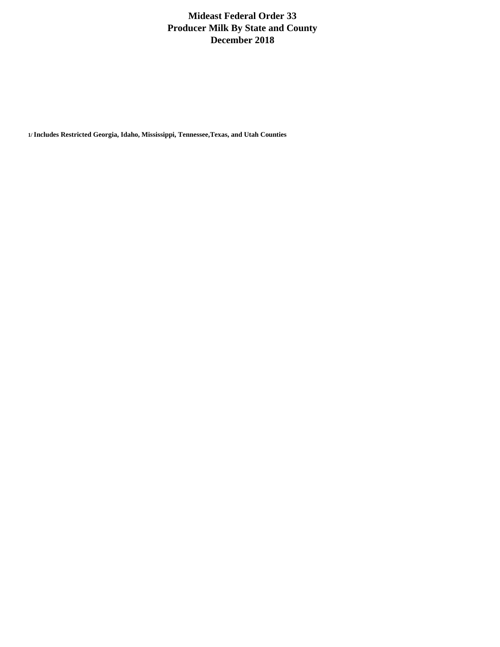**1/ Includes Restricted Georgia, Idaho, Mississippi, Tennessee,Texas, and Utah Counties**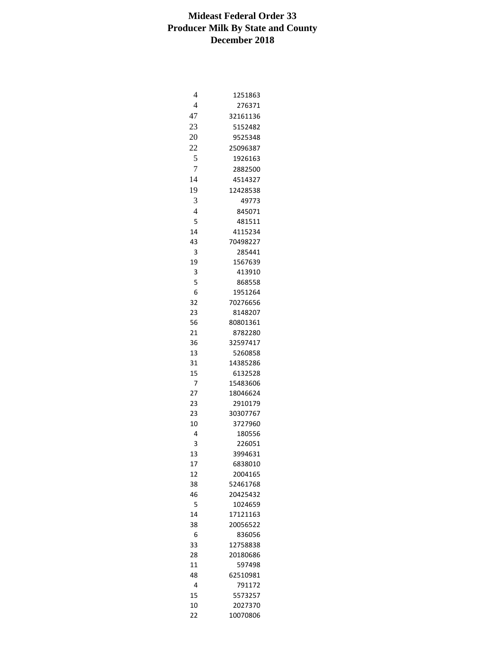| $\overline{4}$ | 1251863  |
|----------------|----------|
| $\overline{4}$ | 276371   |
| 47             | 32161136 |
| 23             | 5152482  |
|                |          |
| 20             | 9525348  |
| 22             | 25096387 |
| 5              | 1926163  |
| 7              | 2882500  |
| 14             | 4514327  |
| 19             | 12428538 |
| 3              | 49773    |
| $\overline{4}$ | 845071   |
| 5              | 481511   |
| 14             | 4115234  |
|                |          |
| 43             | 70498227 |
| 3              | 285441   |
| 19             | 1567639  |
| 3              | 413910   |
| 5              | 868558   |
| 6              | 1951264  |
| 32             | 70276656 |
| 23             | 8148207  |
| 56             | 80801361 |
| 21             | 8782280  |
| 36             | 32597417 |
| 13             | 5260858  |
| 31             | 14385286 |
| 15             | 6132528  |
| 7              |          |
|                | 15483606 |
| 27             | 18046624 |
| 23             | 2910179  |
| 23             | 30307767 |
| 10             | 3727960  |
| 4              | 180556   |
| 3              | 226051   |
| 13             | 3994631  |
| 17             | 6838010  |
| 12             | 2004165  |
| 38             | 52461768 |
| 46             | 20425432 |
| 5              | 1024659  |
| 14             | 17121163 |
| 38             | 20056522 |
|                |          |
| 6              | 836056   |
| 33             | 12758838 |
| 28             | 20180686 |
| 11             | 597498   |
| 48             | 62510981 |
| 4              | 791172   |
| 15             | 5573257  |
| 10             | 2027370  |
| 22             | 10070806 |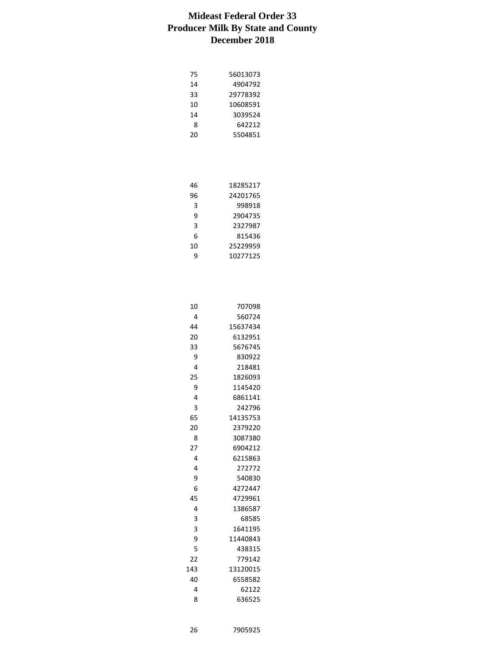| 75 | 56013073 |
|----|----------|
| 14 | 4904792  |
| 33 | 29778392 |
| 10 | 10608591 |
| 14 | 3039524  |
| 8  | 642212   |
| 20 | 5504851  |
|    |          |

| 46 | 18285217 |
|----|----------|
| 96 | 24201765 |
| 3  | 998918   |
| ٩  | 2904735  |
| 3  | 2327987  |
| 6  | 815436   |
| 10 | 25229959 |
| q  | 10277125 |
|    |          |

| 10  | 707098   |
|-----|----------|
| 4   | 560724   |
| 44  | 15637434 |
| 20  | 6132951  |
| 33  | 5676745  |
| 9   | 830922   |
| 4   | 218481   |
| 25  | 1826093  |
| 9   | 1145420  |
| 4   | 6861141  |
| 3   | 242796   |
| 65  | 14135753 |
| 20  | 2379220  |
| 8   | 3087380  |
| 27  | 6904212  |
| 4   | 6215863  |
| 4   | 272772   |
| 9   | 540830   |
| 6   | 4272447  |
| 45  | 4729961  |
| 4   | 1386587  |
| 3   | 68585    |
| 3   | 1641195  |
| 9   | 11440843 |
| 5   | 438315   |
| 22  | 779142   |
| 143 | 13120015 |
| 40  | 6558582  |
| 4   | 62122    |
| 8   | 636525   |

7905925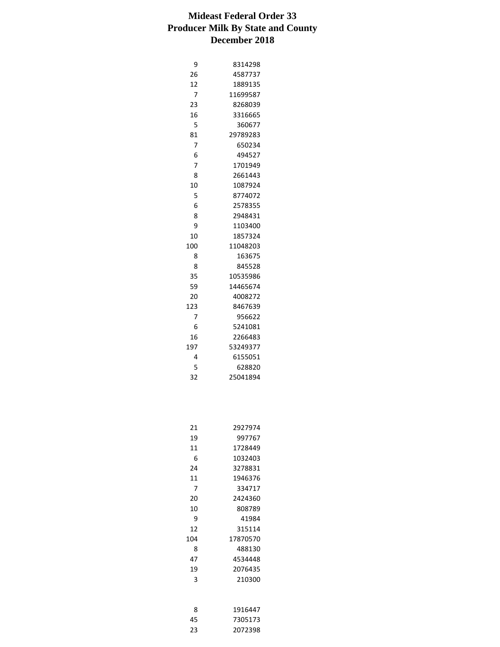| 9              | 8314298  |
|----------------|----------|
| 26             | 4587737  |
| 12             | 1889135  |
| 7              | 11699587 |
| 23             | 8268039  |
| 16             | 3316665  |
| 5              | 360677   |
| 81             | 29789283 |
| 7              | 650234   |
| 6              | 494527   |
| $\overline{7}$ | 1701949  |
| 8              | 2661443  |
| 10             | 1087924  |
| 5              | 8774072  |
| 6              | 2578355  |
| 8              | 2948431  |
| 9              | 1103400  |
| 10             | 1857324  |
| 100            | 11048203 |
| 8              | 163675   |
| 8              | 845528   |
| 35             | 10535986 |
| 59             | 14465674 |
| 20             | 4008272  |
| 123            | 8467639  |
| 7              | 956622   |
| 6              | 5241081  |
| 16             | 2266483  |
| 197            | 53249377 |
| 4              | 6155051  |
| 5              | 628820   |
| 32             | 25041894 |

| 21  | 2927974  |
|-----|----------|
| 19  | 997767   |
| 11  | 1728449  |
| հ   | 1032403  |
| 24  | 3278831  |
| 11  | 1946376  |
| 7   | 334717   |
| 20  | 2424360  |
| 10  | 808789   |
| 9   | 41984    |
| 12  | 315114   |
| 104 | 17870570 |
| 8   | 488130   |
| 47  | 4534448  |
| 19  | 2076435  |
| 3   | 210300   |
|     |          |

| я  | 1916447 |
|----|---------|
| 45 | 7305173 |
| 23 | 2072398 |